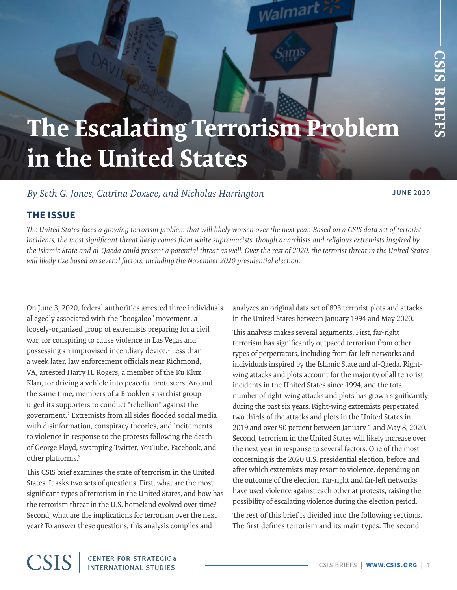# <span id="page-0-0"></span>**The Escalating Terrorism Problem in the United States**

Walmar

# *By Seth G. Jones, Catrina Doxsee, and Nicholas Harrington* **JUNE 2020**

# **THE ISSUE**

*The United States faces a growing terrorism problem that will likely worsen over the next year. Based on a CSIS data set of terrorist incidents, the most significant threat likely comes from white supremacists, though anarchists and religious extremists inspired by the Islamic State and al-Qaeda could present a potential threat as well. Over the rest of 2020, the terrorist threat in the United States will likely rise based on several factors, including the November 2020 presidential election.*

On June 3, 2020, federal authorities arrested three individuals allegedly associated with the "boogaloo" movement, a loosely-organized group of extremists preparing for a civil war, for conspiring to cause violence in Las Vegas and possessing an improvised incendiary device.<sup>[1](#page-8-0)</sup> Less than a week later, law enforcement officials near Richmond, VA, arrested Harry H. Rogers, a member of the Ku Klux Klan, for driving a vehicle into peaceful protesters. Around the same time, members of a Brooklyn anarchist group urged its supporters to conduct "rebellion" against the government[.2](#page-8-0) Extremists from all sides flooded social media with disinformation, conspiracy theories, and incitements to violence in response to the protests following the death of George Floyd, swamping Twitter, YouTube, Facebook, and other platforms.[3](#page-8-0)

This CSIS brief examines the state of terrorism in the United States. It asks two sets of questions. First, what are the most significant types of terrorism in the United States, and how has the terrorism threat in the U.S. homeland evolved over time? Second, what are the implications for terrorism over the next year? To answer these questions, this analysis compiles and

analyzes an original data set of 893 terrorist plots and attacks in the United States between January 1994 and May 2020.

This analysis makes several arguments. First, far-right terrorism has significantly outpaced terrorism from other types of perpetrators, including from far-left networks and individuals inspired by the Islamic State and al-Qaeda. Rightwing attacks and plots account for the majority of all terrorist incidents in the United States since 1994, and the total number of right-wing attacks and plots has grown significantly during the past six years. Right-wing extremists perpetrated two thirds of the attacks and plots in the United States in 2019 and over 90 percent between January 1 and May 8, 2020. Second, terrorism in the United States will likely increase over the next year in response to several factors. One of the most concerning is the 2020 U.S. presidential election, before and after which extremists may resort to violence, depending on the outcome of the election. Far-right and far-left networks have used violence against each other at protests, raising the possibility of escalating violence during the election period.

The rest of this brief is divided into the following sections. The first defines terrorism and its main types. The second

# **CSIS**

**CENTER FOR STRATEGIC &**<br>INTERNATIONAL STUDIES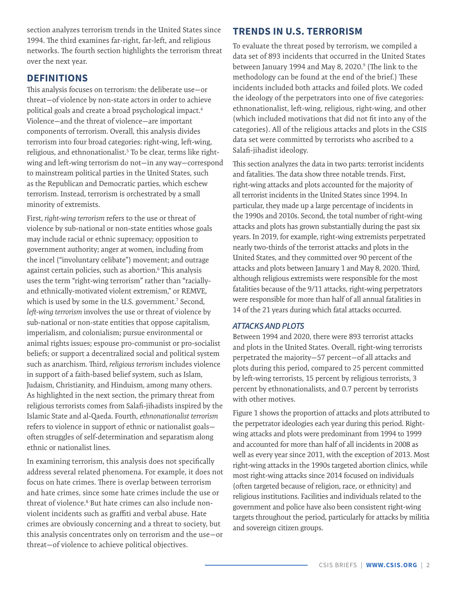<span id="page-1-0"></span>section analyzes terrorism trends in the United States since 1994. The third examines far-right, far-left, and religious networks. The fourth section highlights the terrorism threat over the next year.

# **DEFINITIONS**

This analysis focuses on terrorism: the deliberate use—or threat—of violence by non-state actors in order to achieve political goals and create a broad psychological impact.[4](#page-8-0) Violence—and the threat of violence—are important components of terrorism. Overall, this analysis divides terrorism into four broad categories: right-wing, left-wing, religious, and ethnonationalist.<sup>[5](#page-8-0)</sup> To be clear, terms like rightwing and left-wing terrorism do not—in any way—correspond to mainstream political parties in the United States, such as the Republican and Democratic parties, which eschew terrorism. Instead, terrorism is orchestrated by a small minority of extremists.

First, *right-wing terrorism* refers to the use or threat of violence by sub-national or non-state entities whose goals may include racial or ethnic supremacy; opposition to government authority; anger at women, including from the incel ("involuntary celibate") movement; and outrage against certain policies, such as abortion.<sup>[6](#page-8-0)</sup> This analysis uses the term "right-wing terrorism" rather than "raciallyand ethnically-motivated violent extremism," or REMVE, which is used by some in the U.S. government[.7](#page-8-0) Second, *left-wing terrorism* involves the use or threat of violence by sub-national or non-state entities that oppose capitalism, imperialism, and colonialism; pursue environmental or animal rights issues; espouse pro-communist or pro-socialist beliefs; or support a decentralized social and political system such as anarchism. Third, *religious terrorism* includes violence in support of a faith-based belief system, such as Islam, Judaism, Christianity, and Hinduism, among many others. As highlighted in the next section, the primary threat from religious terrorists comes from Salafi-jihadists inspired by the Islamic State and al-Qaeda. Fourth, *ethnonationalist terrorism* refers to violence in support of ethnic or nationalist goals often struggles of self-determination and separatism along ethnic or nationalist lines.

In examining terrorism, this analysis does not specifically address several related phenomena. For example, it does not focus on hate crimes. There is overlap between terrorism and hate crimes, since some hate crimes include the use or threat of violence[.8](#page-8-0) But hate crimes can also include nonviolent incidents such as graffiti and verbal abuse. Hate crimes are obviously concerning and a threat to society, but this analysis concentrates only on terrorism and the use—or threat—of violence to achieve political objectives.

# **TRENDS IN U.S. TERRORISM**

To evaluate the threat posed by terrorism, we compiled a data set of 893 incidents that occurred in the United States between January 1[9](#page-8-0)94 and May 8, 2020.<sup>9</sup> (The link to the methodology can be found at the end of the brief.) These incidents included both attacks and foiled plots. We coded the ideology of the perpetrators into one of five categories: ethnonationalist, left-wing, religious, right-wing, and other (which included motivations that did not fit into any of the categories). All of the religious attacks and plots in the CSIS data set were committed by terrorists who ascribed to a Salafi-jihadist ideology.

This section analyzes the data in two parts: terrorist incidents and fatalities. The data show three notable trends. First, right-wing attacks and plots accounted for the majority of all terrorist incidents in the United States since 1994. In particular, they made up a large percentage of incidents in the 1990s and 2010s. Second, the total number of right-wing attacks and plots has grown substantially during the past six years. In 2019, for example, right-wing extremists perpetrated nearly two-thirds of the terrorist attacks and plots in the United States, and they committed over 90 percent of the attacks and plots between January 1 and May 8, 2020. Third, although religious extremists were responsible for the most fatalities because of the 9/11 attacks, right-wing perpetrators were responsible for more than half of all annual fatalities in 14 of the 21 years during which fatal attacks occurred.

#### *ATTACKS AND PLOTS*

Between 1994 and 2020, there were 893 terrorist attacks and plots in the United States. Overall, right-wing terrorists perpetrated the majority—57 percent—of all attacks and plots during this period, compared to 25 percent committed by left-wing terrorists, 15 percent by religious terrorists, 3 percent by ethnonationalists, and 0.7 percent by terrorists with other motives.

Figure 1 shows the proportion of attacks and plots attributed to the perpetrator ideologies each year during this period. Rightwing attacks and plots were predominant from 1994 to 1999 and accounted for more than half of all incidents in 2008 as well as every year since 2011, with the exception of 2013. Most right-wing attacks in the 1990s targeted abortion clinics, while most right-wing attacks since 2014 focused on individuals (often targeted because of religion, race, or ethnicity) and religious institutions. Facilities and individuals related to the government and police have also been consistent right-wing targets throughout the period, particularly for attacks by militia and sovereign citizen groups.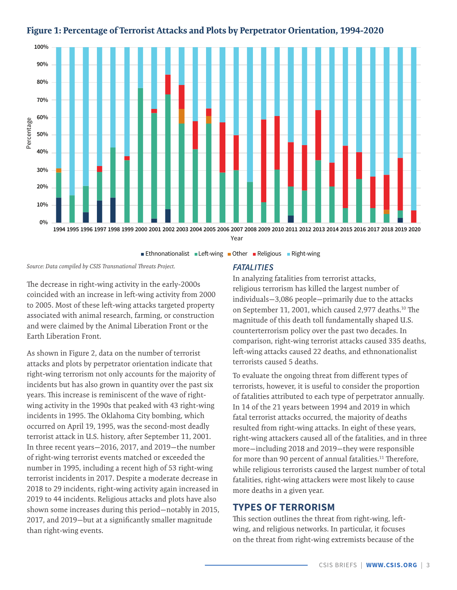

#### <span id="page-2-0"></span>**Figure 1: Percentage of Terrorist Attacks and Plots by Perpetrator Orientation, 1994-2020**

Ethnonationalist Left-wing Other Religious Right-wing

*Source: Data compiled by CSIS Transnational Threats Project.*

The decrease in right-wing activity in the early-2000s coincided with an increase in left-wing activity from 2000 to 2005. Most of these left-wing attacks targeted property associated with animal research, farming, or construction and were claimed by the Animal Liberation Front or the Earth Liberation Front.

As shown in Figure 2, data on the number of terrorist attacks and plots by perpetrator orientation indicate that right-wing terrorism not only accounts for the majority of incidents but has also grown in quantity over the past six years. This increase is reminiscent of the wave of rightwing activity in the 1990s that peaked with 43 right-wing incidents in 1995. The Oklahoma City bombing, which occurred on April 19, 1995, was the second-most deadly terrorist attack in U.S. history, after September 11, 2001. In three recent years—2016, 2017, and 2019—the number of right-wing terrorist events matched or exceeded the number in 1995, including a recent high of 53 right-wing terrorist incidents in 2017. Despite a moderate decrease in 2018 to 29 incidents, right-wing activity again increased in 2019 to 44 incidents. Religious attacks and plots have also shown some increases during this period—notably in 2015, 2017, and 2019—but at a significantly smaller magnitude than right-wing events.

#### *FATALITIES*

In analyzing fatalities from terrorist attacks, religious terrorism has killed the largest number of individuals—3,086 people—primarily due to the attacks on September 11, 2001, which caused 2,977 deaths.[10](#page-8-0) The magnitude of this death toll fundamentally shaped U.S. counterterrorism policy over the past two decades. In comparison, right-wing terrorist attacks caused 335 deaths, left-wing attacks caused 22 deaths, and ethnonationalist terrorists caused 5 deaths.

To evaluate the ongoing threat from different types of terrorists, however, it is useful to consider the proportion of fatalities attributed to each type of perpetrator annually. In 14 of the 21 years between 1994 and 2019 in which fatal terrorist attacks occurred, the majority of deaths resulted from right-wing attacks. In eight of these years, right-wing attackers caused all of the fatalities, and in three more—including 2018 and 2019—they were responsible for more than 90 percent of annual fatalities.<sup>11</sup> Therefore, while religious terrorists caused the largest number of total fatalities, right-wing attackers were most likely to cause more deaths in a given year.

## **TYPES OF TERRORISM**

This section outlines the threat from right-wing, leftwing, and religious networks. In particular, it focuses on the threat from right-wing extremists because of the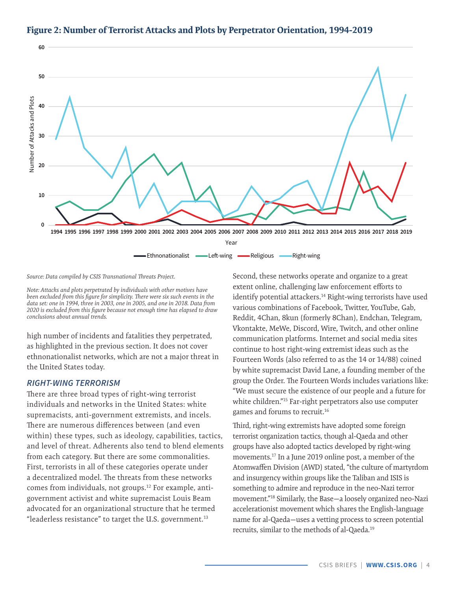

### <span id="page-3-0"></span>**Figure 2: Number of Terrorist Attacks and Plots by Perpetrator Orientation, 1994-2019**

*Source: Data compiled by CSIS Transnational Threats Project.*

*Note: Attacks and plots perpetrated by individuals with other motives have been excluded from this figure for simplicity. There were six such events in the data set: one in 1994, three in 2003, one in 2005, and one in 2018. Data from 2020 is excluded from this figure because not enough time has elapsed to draw conclusions about annual trends.*

high number of incidents and fatalities they perpetrated, as highlighted in the previous section. It does not cover ethnonationalist networks, which are not a major threat in the United States today.

#### *RIGHT-WING TERRORISM*

There are three broad types of right-wing terrorist individuals and networks in the United States: white supremacists, anti-government extremists, and incels. There are numerous differences between (and even within) these types, such as ideology, capabilities, tactics, and level of threat. Adherents also tend to blend elements from each category. But there are some commonalities. First, terrorists in all of these categories operate under a decentralized model. The threats from these networks comes from individuals, not groups[.12](#page-8-0) For example, antigovernment activist and white supremacist Louis Beam advocated for an organizational structure that he termed "leaderless resistance" to target the U.S. government.[13](#page-8-0)

Second, these networks operate and organize to a great extent online, challenging law enforcement efforts to identify potential attackers.<sup>14</sup> Right-wing terrorists have used various combinations of Facebook, Twitter, YouTube, Gab, Reddit, 4Chan, 8kun (formerly 8Chan), Endchan, Telegram, Vkontakte, MeWe, Discord, Wire, Twitch, and other online communication platforms. Internet and social media sites continue to host right-wing extremist ideas such as the Fourteen Words (also referred to as the 14 or 14/88) coined by white supremacist David Lane, a founding member of the group the Order. The Fourteen Words includes variations like: "We must secure the existence of our people and a future for white children.["15](#page-8-0) Far-right perpetrators also use computer games and forums to recruit.[16](#page-8-0)

Third, right-wing extremists have adopted some foreign terrorist organization tactics, though al-Qaeda and other groups have also adopted tactics developed by right-wing movements[.17](#page-8-0) In a June 2019 online post, a member of the Atomwaffen Division (AWD) stated, "the culture of martyrdom and insurgency within groups like the Taliban and ISIS is something to admire and reproduce in the neo-Nazi terror movement.["18](#page-8-0) Similarly, the Base—a loosely organized neo-Nazi accelerationist movement which shares the English-language name for al-Qaeda—uses a vetting process to screen potential recruits, similar to the methods of al-Qaeda.[19](#page-8-0)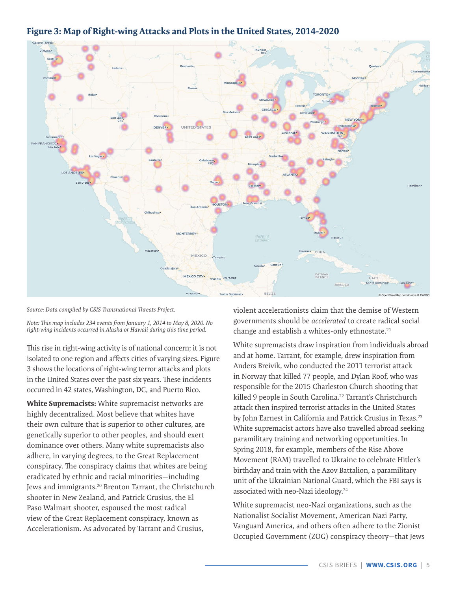

# <span id="page-4-0"></span>**Figure 3: Map of Right-wing Attacks and Plots in the United States, 2014-2020**

*Source: Data compiled by CSIS Transnational Threats Project.*

*Note: This map includes 234 events from January 1, 2014 to May 8, 2020. No right-wing incidents occurred in Alaska or Hawaii during this time period.*

This rise in right-wing activity is of national concern; it is not isolated to one region and affects cities of varying sizes. Figure 3 shows the locations of right-wing terror attacks and plots in the United States over the past six years. These incidents occurred in 42 states, Washington, DC, and Puerto Rico.

**White Supremacists:** White supremacist networks are highly decentralized. Most believe that whites have their own culture that is superior to other cultures, are genetically superior to other peoples, and should exert dominance over others. Many white supremacists also adhere, in varying degrees, to the Great Replacement conspiracy. The conspiracy claims that whites are being eradicated by ethnic and racial minorities—including Jews and immigrants.[20](#page-8-0) Brenton Tarrant, the Christchurch shooter in New Zealand, and Patrick Crusius, the El Paso Walmart shooter, espoused the most radical view of the Great Replacement conspiracy, known as Accelerationism. As advocated by Tarrant and Crusius,

violent accelerationists claim that the demise of Western governments should be *accelerated* to create radical social change and establish a whites-only ethnostate.<sup>[21](#page-8-0)</sup>

White supremacists draw inspiration from individuals abroad and at home. Tarrant, for example, drew inspiration from Anders Breivik, who conducted the 2011 terrorist attack in Norway that killed 77 people, and Dylan Roof, who was responsible for the 2015 Charleston Church shooting that killed 9 people in South Carolina.<sup>22</sup> Tarrant's Christchurch attack then inspired terrorist attacks in the United States by John Earnest in California and Patrick Crusius in Texas.<sup>[23](#page-8-0)</sup> White supremacist actors have also travelled abroad seeking paramilitary training and networking opportunities. In Spring 2018, for example, members of the Rise Above Movement (RAM) travelled to Ukraine to celebrate Hitler's birthday and train with the Azov Battalion, a paramilitary unit of the Ukrainian National Guard, which the FBI says is associated with neo-Nazi ideology.<sup>[24](#page-8-0)</sup>

White supremacist neo-Nazi organizations, such as the Nationalist Socialist Movement, American Nazi Party, Vanguard America, and others often adhere to the Zionist Occupied Government (ZOG) conspiracy theory—that Jews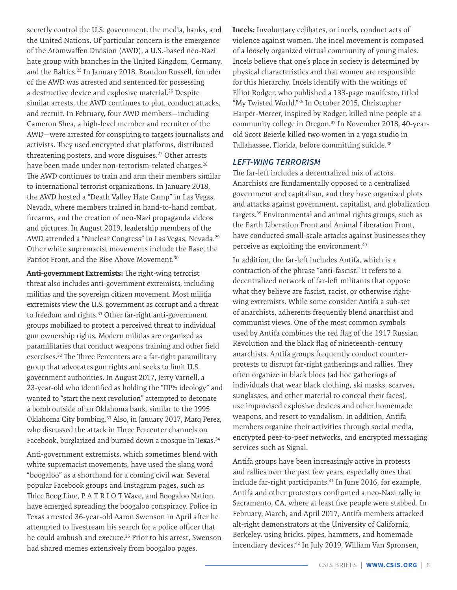<span id="page-5-0"></span>secretly control the U.S. government, the media, banks, and the United Nations. Of particular concern is the emergence of the Atomwaffen Division (AWD), a U.S.-based neo-Nazi hate group with branches in the United Kingdom, Germany, and the Baltics.[25](#page-8-0) In January 2018, Brandon Russell, founder of the AWD was arrested and sentenced for possessing a destructive device and explosive material.[26](#page-9-0) Despite similar arrests, the AWD continues to plot, conduct attacks, and recruit. In February, four AWD members—including Cameron Shea, a high-level member and recruiter of the AWD—were arrested for conspiring to targets journalists and activists. They used encrypted chat platforms, distributed threatening posters, and wore disguises.<sup>27</sup> Other arrests have been made under non-terrorism-related charges.<sup>[28](#page-9-0)</sup> The AWD continues to train and arm their members similar to international terrorist organizations. In January 2018, the AWD hosted a "Death Valley Hate Camp" in Las Vegas, Nevada, where members trained in hand-to-hand combat, firearms, and the creation of neo-Nazi propaganda videos and pictures. In August 2019, leadership members of the AWD attended a "Nuclear Congress" in Las Vegas, Nevada.<sup>[29](#page-9-0)</sup> Other white supremacist movements include the Base, the Patriot Front, and the Rise Above Movement.<sup>[30](#page-9-0)</sup>

**Anti-government Extremists:** The right-wing terrorist threat also includes anti-government extremists, including militias and the sovereign citizen movement. Most militia extremists view the U.S. government as corrupt and a threat to freedom and rights.<sup>31</sup> Other far-right anti-government groups mobilized to protect a perceived threat to individual gun ownership rights. Modern militias are organized as paramilitaries that conduct weapons training and other field exercises.<sup>32</sup> The Three Percenters are a far-right paramilitary group that advocates gun rights and seeks to limit U.S. government authorities. In August 2017, Jerry Varnell, a 23-year-old who identified as holding the "III% ideology" and wanted to "start the next revolution" attempted to detonate a bomb outside of an Oklahoma bank, similar to the 1995 Oklahoma City bombing[.33](#page-9-0) Also, in January 2017, Marq Perez, who discussed the attack in Three Percenter channels on Facebook, burglarized and burned down a mosque in Texas.<sup>[34](#page-9-0)</sup>

Anti-government extremists, which sometimes blend with white supremacist movements, have used the slang word "boogaloo" as a shorthand for a coming civil war. Several popular Facebook groups and Instagram pages, such as Thicc Boog Line, P A T R I O T Wave, and Boogaloo Nation, have emerged spreading the boogaloo conspiracy. Police in Texas arrested 36-year-old Aaron Swenson in April after he attempted to livestream his search for a police officer that he could ambush and execute.<sup>[35](#page-9-0)</sup> Prior to his arrest, Swenson had shared memes extensively from boogaloo pages.

**Incels:** Involuntary celibates, or incels, conduct acts of violence against women. The incel movement is composed of a loosely organized virtual community of young males. Incels believe that one's place in society is determined by physical characteristics and that women are responsible for this hierarchy. Incels identify with the writings of Elliot Rodger, who published a 133-page manifesto, titled "My Twisted World.["36](#page-9-0) In October 2015, Christopher Harper-Mercer, inspired by Rodger, killed nine people at a community college in Oregon[.37](#page-9-0) In November 2018, 40-yearold Scott Beierle killed two women in a yoga studio in Tallahassee, Florida, before committing suicide.<sup>38</sup>

#### *LEFT-WING TERRORISM*

The far-left includes a decentralized mix of actors. Anarchists are fundamentally opposed to a centralized government and capitalism, and they have organized plots and attacks against government, capitalist, and globalization targets[.39](#page-9-0) Environmental and animal rights groups, such as the Earth Liberation Front and Animal Liberation Front, have conducted small-scale attacks against businesses they perceive as exploiting the environment[.40](#page-9-0)

In addition, the far-left includes Antifa, which is a contraction of the phrase "anti-fascist." It refers to a decentralized network of far-left militants that oppose what they believe are fascist, racist, or otherwise rightwing extremists. While some consider Antifa a sub-set of anarchists, adherents frequently blend anarchist and communist views. One of the most common symbols used by Antifa combines the red flag of the 1917 Russian Revolution and the black flag of nineteenth-century anarchists. Antifa groups frequently conduct counterprotests to disrupt far-right gatherings and rallies. They often organize in black blocs (ad hoc gatherings of individuals that wear black clothing, ski masks, scarves, sunglasses, and other material to conceal their faces), use improvised explosive devices and other homemade weapons, and resort to vandalism. In addition, Antifa members organize their activities through social media, encrypted peer-to-peer networks, and encrypted messaging services such as Signal.

Antifa groups have been increasingly active in protests and rallies over the past few years, especially ones that include far-right participants.<sup>[41](#page-9-0)</sup> In June 2016, for example, Antifa and other protestors confronted a neo-Nazi rally in Sacramento, CA, where at least five people were stabbed. In February, March, and April 2017, Antifa members attacked alt-right demonstrators at the University of California, Berkeley, using bricks, pipes, hammers, and homemade incendiary devices.[42](#page-9-0) In July 2019, William Van Spronsen,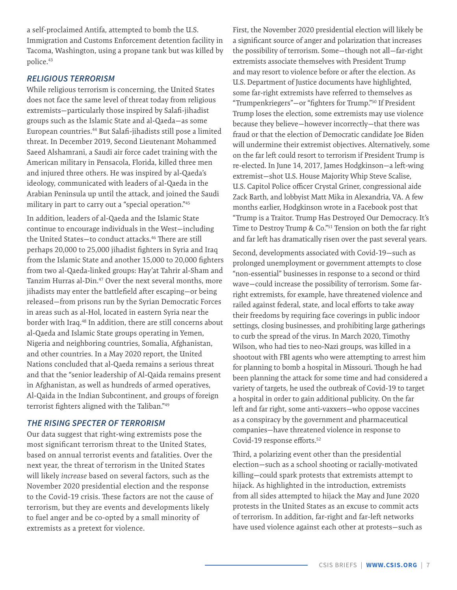<span id="page-6-0"></span>a self-proclaimed Antifa, attempted to bomb the U.S. Immigration and Customs Enforcement detention facility in Tacoma, Washington, using a propane tank but was killed by police.<sup>[43](#page-9-0)</sup>

#### *RELIGIOUS TERRORISM*

While religious terrorism is concerning, the United States does not face the same level of threat today from religious extremists—particularly those inspired by Salafi-jihadist groups such as the Islamic State and al-Qaeda—as some European countries.[44](#page-9-0) But Salafi-jihadists still pose a limited threat. In December 2019, Second Lieutenant Mohammed Saeed Alshamrani, a Saudi air force cadet training with the American military in Pensacola, Florida, killed three men and injured three others. He was inspired by al-Qaeda's ideology, communicated with leaders of al-Qaeda in the Arabian Peninsula up until the attack, and joined the Saudi military in part to carry out a "special operation."[45](#page-9-0)

In addition, leaders of al-Qaeda and the Islamic State continue to encourage individuals in the West—including the United States-to conduct attacks.<sup>46</sup> There are still perhaps 20,000 to 25,000 jihadist fighters in Syria and Iraq from the Islamic State and another 15,000 to 20,000 fighters from two al-Qaeda-linked groups: Hay'at Tahrir al-Sham and Tanzim Hurras al-Din[.47](#page-9-0) Over the next several months, more jihadists may enter the battlefield after escaping—or being released—from prisons run by the Syrian Democratic Forces in areas such as al-Hol, located in eastern Syria near the border with Iraq.<sup>48</sup> In addition, there are still concerns about al-Qaeda and Islamic State groups operating in Yemen, Nigeria and neighboring countries, Somalia, Afghanistan, and other countries. In a May 2020 report, the United Nations concluded that al-Qaeda remains a serious threat and that the "senior leadership of Al-Qaida remains present in Afghanistan, as well as hundreds of armed operatives, Al-Qaida in the Indian Subcontinent, and groups of foreign terrorist fighters aligned with the Taliban."[49](#page-9-0)

#### *THE RISING SPECTER OF TERRORISM*

Our data suggest that right-wing extremists pose the most significant terrorism threat to the United States, based on annual terrorist events and fatalities. Over the next year, the threat of terrorism in the United States will likely *increase* based on several factors, such as the November 2020 presidential election and the response to the Covid-19 crisis. These factors are not the cause of terrorism, but they are events and developments likely to fuel anger and be co-opted by a small minority of extremists as a pretext for violence.

First, the November 2020 presidential election will likely be a significant source of anger and polarization that increases the possibility of terrorism. Some—though not all—far-right extremists associate themselves with President Trump and may resort to violence before or after the election. As U.S. Department of Justice documents have highlighted, some far-right extremists have referred to themselves as "Trumpenkriegers"—or "fighters for Trump.["50](#page-9-0) If President Trump loses the election, some extremists may use violence because they believe—however incorrectly—that there was fraud or that the election of Democratic candidate Joe Biden will undermine their extremist objectives. Alternatively, some on the far left could resort to terrorism if President Trump is re-elected. In June 14, 2017, James Hodgkinson—a left-wing extremist—shot U.S. House Majority Whip Steve Scalise, U.S. Capitol Police officer Crystal Griner, congressional aide Zack Barth, and lobbyist Matt Mika in Alexandria, VA. A few months earlier, Hodgkinson wrote in a Facebook post that "Trump is a Traitor. Trump Has Destroyed Our Democracy. It's Time to Destroy Trump & Co."<sup>51</sup> Tension on both the far right and far left has dramatically risen over the past several years.

Second, developments associated with Covid-19—such as prolonged unemployment or government attempts to close "non-essential" businesses in response to a second or third wave—could increase the possibility of terrorism. Some farright extremists, for example, have threatened violence and railed against federal, state, and local efforts to take away their freedoms by requiring face coverings in public indoor settings, closing businesses, and prohibiting large gatherings to curb the spread of the virus. In March 2020, Timothy Wilson, who had ties to neo-Nazi groups, was killed in a shootout with FBI agents who were attempting to arrest him for planning to bomb a hospital in Missouri. Though he had been planning the attack for some time and had considered a variety of targets, he used the outbreak of Covid-19 to target a hospital in order to gain additional publicity. On the far left and far right, some anti-vaxxers—who oppose vaccines as a conspiracy by the government and pharmaceutical companies—have threatened violence in response to Covid-19 response efforts.<sup>52</sup>

Third, a polarizing event other than the presidential election—such as a school shooting or racially-motivated killing—could spark protests that extremists attempt to hijack. As highlighted in the introduction, extremists from all sides attempted to hijack the May and June 2020 protests in the United States as an excuse to commit acts of terrorism. In addition, far-right and far-left networks have used violence against each other at protests—such as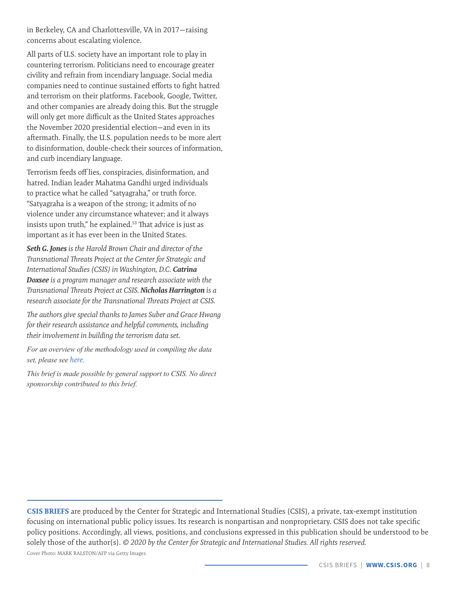<span id="page-7-0"></span>in Berkeley, CA and Charlottesville, VA in 2017—raising concerns about escalating violence.

All parts of U.S. society have an important role to play in countering terrorism. Politicians need to encourage greater civility and refrain from incendiary language. Social media companies need to continue sustained efforts to fight hatred and terrorism on their platforms. Facebook, Google, Twitter, and other companies are already doing this. But the struggle will only get more difficult as the United States approaches the November 2020 presidential election—and even in its aftermath. Finally, the U.S. population needs to be more alert to disinformation, double-check their sources of information, and curb incendiary language.

Terrorism feeds off lies, conspiracies, disinformation, and hatred. Indian leader Mahatma Gandhi urged individuals to practice what he called "satyagraha," or truth force. "Satyagraha is a weapon of the strong; it admits of no violence under any circumstance whatever; and it always insists upon truth," he explained.<sup>53</sup> That advice is just as important as it has ever been in the United States.

*Seth G. Jones is the Harold Brown Chair and director of the Transnational Threats Project at the Center for Strategic and International Studies (CSIS) in Washington, D.C. Catrina Doxsee is a program manager and research associate with the Transnational Threats Project at CSIS. Nicholas Harrington is a research associate for the Transnational Threats Project at CSIS.*

*The authors give special thanks to James Suber and Grace Hwang for their research assistance and helpful comments, including their involvement in building the terrorism data set.*

*For an overview of the methodology used in compiling the data set, please see [here](https://csis-website-prod.s3.amazonaws.com/s3fs-public/200616_Jones_Methodology_v3.pdf).*

*This brief is made possible by general support to CSIS. No direct sponsorship contributed to this brief.*

**CSIS BRIEFS** are produced by the Center for Strategic and International Studies (CSIS), a private, tax-exempt institution focusing on international public policy issues. Its research is nonpartisan and nonproprietary. CSIS does not take specific policy positions. Accordingly, all views, positions, and conclusions expressed in this publication should be understood to be solely those of the author(s). *© 2020 by the Center for Strategic and International Studies. All rights reserved.* Cover Photo: MARK RALSTON/AFP via Getty Images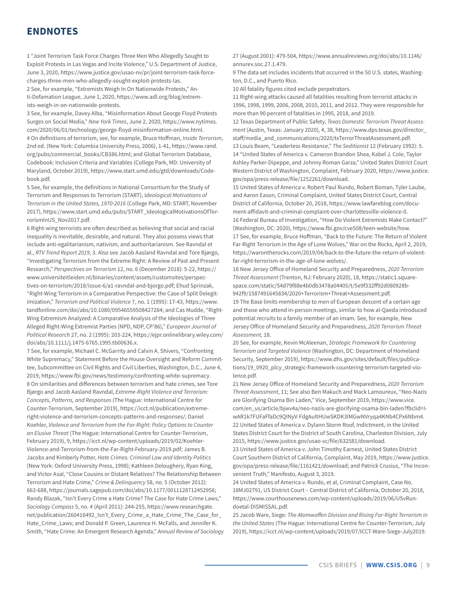# <span id="page-8-0"></span>**ENDNOTES**

[1](#page-0-0) "Joint Terrorism Task Force Charges Three Men Who Allegedly Sought to Exploit Protests in Las Vegas and Incite Violence," U.S. Department of Justice, June 3, 2020, [https://www.justice.gov/usao-nv/pr/joint-terrorism-task-force](https://www.justice.gov/usao-nv/pr/joint-terrorism-task-force-charges-three-men-who-allegedly-sought-exploit-protests-las)[charges-three-men-who-allegedly-sought-exploit-protests-las](https://www.justice.gov/usao-nv/pr/joint-terrorism-task-force-charges-three-men-who-allegedly-sought-exploit-protests-las).

[2](#page-0-0) See, for example, "Extremists Weigh In On Nationwide Protests," Anti-Defamation League, June 1, 2020, [https://www.adl.org/blog/extrem](https://www.adl.org/blog/extremists-weigh-in-on-nationwide-protests)[ists-weigh-in-on-nationwide-protests.](https://www.adl.org/blog/extremists-weigh-in-on-nationwide-protests)

[3](#page-0-0) See, for example, Davey Alba, "Misinformation About George Floyd Protests Surges on Social Media," *New York Times*, June 2, 2020, [https://www.nytimes.](https://www.nytimes.com/2020/06/01/technology/george-floyd-misinformation-online.html) [com/2020/06/01/technology/george-floyd-misinformation-online.html](https://www.nytimes.com/2020/06/01/technology/george-floyd-misinformation-online.html). [4](#page-1-0) On definitions of terrorism, see, for example, Bruce Hoffman, *Inside Terrorism*, 2nd ed. (New York: Columbia University Press, 2006), 1-41, [https://www.rand.](https://www.rand.org/pubs/commercial_books/CB386.html) [org/pubs/commercial\\_books/CB386.html;](https://www.rand.org/pubs/commercial_books/CB386.html) and Global Terrorism Database, Codebook: Inclusion Criteria and Variables (College Park, MD: University of Maryland, October 2019), https://www.start.umd.edu/gtd/downloads/Codebook.pdf.

[5](#page-1-0) See, for example, the definitions in National Consortium for the Study of Terrorism and Responses to Terrorism (START), I*deological Motivations of Terrorism in the United States, 1970-2016* (College Park, MD: START, November 2017), https://www.start.umd.edu/pubs/START\_IdeologicalMotivationsOfTerrorismInUS\_Nov2017.pdf.

[6](#page-1-0) Right-wing terrorists are often described as believing that social and racial inequality is inevitable, desirable, and natural. They also possess views that include anti-egalitarianism, nativism, and authoritarianism. See Ravndal et al., *RTV Trend Report 2019*, 3. Also see Jacob Aasland Ravndal and Tore Bjørgo, "Investigating Terrorism from the Extreme Right: A Review of Past and Present Research," *Perspectives on Terrorism* 12, no. 6 (December 2018): 5-22, https:// www.universiteitleiden.nl/binaries/content/assets/customsites/perspectives-on-terrorism/2018/issue-6/a1-ravndal-and-bjorgo.pdf; Ehud Sprinzak, "Right-Wing Terrorism in a Comparative Perspective: the Case of Split Delegitimization," *Terrorism and Political Violence* 7, no. 1 (1995): 17-43, [https://www.](https://www.tandfonline.com/doi/abs/10.1080/09546559508427284) [tandfonline.com/doi/abs/10.1080/09546559508427284;](https://www.tandfonline.com/doi/abs/10.1080/09546559508427284) and Cas Mudde, "Right-Wing Extremism Analyzed: A Comparative Analysis of the Ideologies of Three Alleged Right-Wing Extremist Parties (NPD, NDP, CP'86)," *European Journal of Political Research* 27, no. 2 (1995): 203-224, [https://ejpr.onlinelibrary.wiley.com/]( https://ejpr.onlinelibrary.wiley.com/doi/abs/10.1111/j.1475-6765.1995.tb00636.x) [doi/abs/10.1111/j.1475-6765.1995.tb00636.x]( https://ejpr.onlinelibrary.wiley.com/doi/abs/10.1111/j.1475-6765.1995.tb00636.x).

[7](#page-1-0) See, for example, Michael C. McGarrity and Calvin A. Shivers, "Confronting White Supremacy," Statement Before the House Oversight and Reform Committee, Subcommittee on Civil Rights and Civil Liberties, Washington, D.C., June 4, 2019, https://www.fbi.gov/news/testimony/confronting-white-supremacy. [8](#page-1-0) On similarities and differences between terrorism and hate crimes, see Tore Bjørgo and Jacob Aasland Ravndal, *Extreme-Right Violence and Terrorism: Concepts, Patterns, and Responses* (The Hague: International Centre for Counter-Terrorism, September 2019), https://icct.nl/publication/extremeright-violence-and-terrorism-concepts-patterns-and-responses/; Daniel Koehler, *Violence and Terrorism from the Far-Right: Policy Options to Counter an Elusive Threat* (The Hague: International Centre for Counter-Terrorism, February 2019), 9, [https://icct.nl/wp-content/uploads/2019/02/Koehler-](https://icct.nl/wp-content/uploads/2019/02/Koehler-Violence-and-Terrorism-from-the-Far-Right-February-2019.pdf)[Violence-and-Terrorism-from-the-Far-Right-February-2019.pdf;](https://icct.nl/wp-content/uploads/2019/02/Koehler-Violence-and-Terrorism-from-the-Far-Right-February-2019.pdf) James B. Jacobs and Kimberly Potter, *Hate Crimes: Criminal Law and Identity Politics* (New York: Oxford University Press, 1998); Kathleen Deloughery, Ryan King, and Victor Asal, "Close Cousins or Distant Relatives? The Relationship Between Terrorism and Hate Crime," *Crime & Delinquency* 58, no. 5 (October 2012): 663-688, https://journals.sagepub.com/doi/abs/10.1177/0011128712452956; Randy Blazak, "Isn't Every Crime a Hate Crime? The Case for Hate Crime Laws," *Sociology Compass* 5, no. 4 (April 2011): 244-255, https://www.researchgate. net/publication/260416492\_Isn't\_Every\_Crime\_a\_Hate\_Crime\_The\_Case\_for\_ Hate\_Crime\_Laws; and Donald P. Green, Laurence H. McFalls, and Jennifer K. Smith, "Hate Crime: An Emergent Research Agenda," *Annual Review of Sociology* 27 (August 2001): 479-504, https://www.annualreviews.org/doi/abs/10.1146/ annurev.soc.27.1.479.

[9](#page-1-0) The data set includes incidents that occurred in the 50 U.S. states, Washington, D.C., and Puerto Rico.

[10](#page-2-0) All fatality figures cited exclude perpetrators.

[11](#page-2-0) Right-wing attacks caused all fatalities resulting from terrorist attacks in 1996, 1998, 1999, 2006, 2008, 2010, 2011, and 2012. They were responsible for more than 90 percent of fatalities in 1995, 2018, and 2019.

[12](#page-3-0) Texas Department of Public Safety, *Texas Domestic Terrorism Threat Assessment* (Austin, Texas: January 2020), 4, 38, [https://www.dps.texas.gov/director\\_](https://www.dps.texas.gov/director_staff/media_and_communications/2020/txTerrorThreatAssessment.pdf) [staff/media\\_and\\_communications/2020/txTerrorThreatAssessment.pdf.](https://www.dps.texas.gov/director_staff/media_and_communications/2020/txTerrorThreatAssessment.pdf) [13](#page-3-0) Louis Beam, "Leaderless Resistance," *The Seditionist* 12 (February 1992): 5. [14](#page-3-0) "United States of America v. Cameron Brandon Shea, Kabel J. Cole, Taylor Ashley Parker-Dipeppe, and Johnny Roman Garza," United States District Court Western District of Washington, Complaint, February 2020, [https://www.justice.](https://www.justice.gov/opa/press-release/file/1252261/download) [gov/opa/press-release/file/1252261/download](https://www.justice.gov/opa/press-release/file/1252261/download).

[15](#page-3-0) United States of America v. Robert Paul Rundo, Robert Boman, Tyler Laube, and Aaron Eason, Criminal Complaint, United States District Court, Central District of California, October 20, 2018, [https://www.lawfareblog.com/docu](https://www.lawfareblog.com/document-affidavit-and-criminal-complaint-over-charlottesville-violence-0)[ment-affidavit-and-criminal-complaint-over-charlottesville-violence-0.](https://www.lawfareblog.com/document-affidavit-and-criminal-complaint-over-charlottesville-violence-0) [16](#page-3-0) Federal Bureau of Investigation, "How Do Violent Extremists Make Contact?" (Washington, DC: 2020), [https://www.fbi.gov/cve508/teen-website/how.](https://www.fbi.gov/cve508/teen-website/how) [17](#page-3-0) See, for example, Bruce Hoffman, "Back to the Future: The Return of Violent Far-Right Terrorism in the Age of Lone Wolves," War on the Rocks, April 2, 2019, [https://warontherocks.com/2019/04/back-to-the-future-the-return-of-violent](https://warontherocks.com/2019/04/back-to-the-future-the-return-of-violent-far-right-terrorism-in-the-age-of-lone-wolves/)[far-right-terrorism-in-the-age-of-lone-wolves/.](https://warontherocks.com/2019/04/back-to-the-future-the-return-of-violent-far-right-terrorism-in-the-age-of-lone-wolves/)

[18](#page-3-0) New Jersey Office of Homeland Security and Preparedness, *2020 Terrorism Threat Assessment* (Trenton, NJ: February 2020), 18, [https://static1.square](https://static1.squarespace.com/static/54d79f88e4b0db3478a04405/t/5e9f332ff92d080928b942f9/1587491645834/2020+Terrorism+Threat+Assessment.pdf)[space.com/static/54d79f88e4b0db3478a04405/t/5e9f332ff92d080928b-](https://static1.squarespace.com/static/54d79f88e4b0db3478a04405/t/5e9f332ff92d080928b942f9/1587491645834/2020+Terrorism+Threat+Assessment.pdf)[942f9/1587491645834/2020+Terrorism+Threat+Assessment.pdf.](https://static1.squarespace.com/static/54d79f88e4b0db3478a04405/t/5e9f332ff92d080928b942f9/1587491645834/2020+Terrorism+Threat+Assessment.pdf)

[19](#page-3-0) The Base limits membership to men of European descent of a certain age and those who attend in-person meetings, similar to how al-Qaeda introduced potential recruits to a family member of an imam. See, for example, New Jersey Office of Homeland Security and Preparedness, *2020 Terrorism Threat Assessment,* 18.

[20](#page-4-0) See, for example, Kevin McAleenan, *Strategic Framework for Countering Terrorism and Targeted Violence* (Washington, DC: Department of Homeland Security, September 2019), [https://www.dhs.gov/sites/default/files/publica](https://www.dhs.gov/sites/default/files/publications/19_0920_plcy_strategic-framework-countering-terrorism-targeted-violence.pdf)[tions/19\\_0920\\_plcy\\_strategic-framework-countering-terrorism-targeted-vio](https://www.dhs.gov/sites/default/files/publications/19_0920_plcy_strategic-framework-countering-terrorism-targeted-violence.pdf)[lence.pdf.](https://www.dhs.gov/sites/default/files/publications/19_0920_plcy_strategic-framework-countering-terrorism-targeted-violence.pdf)

[21](#page-4-0) New Jersey Office of Homeland Security and Preparedness, *2020 Terrorism Threat Assessment*, 11; See also Ben Makuch and Mack Lamoureux, "Neo-Nazis are Glorifying Osama Bin Laden," Vice, September 2019, [https://www.vice.](https://www.vice.com/en_us/article/bjwv4a/neo-nazis-are-glorifying-osama-bin-laden?fbclid=IwAR1k7FUFaFfaDc9QINyV-FdgAultHUwSKDK3IMGwNVryqa4KNb4CPx6Nbm4) [com/en\\_us/article/bjwv4a/neo-nazis-are-glorifying-osama-bin-laden?fbclid=I](https://www.vice.com/en_us/article/bjwv4a/neo-nazis-are-glorifying-osama-bin-laden?fbclid=IwAR1k7FUFaFfaDc9QINyV-FdgAultHUwSKDK3IMGwNVryqa4KNb4CPx6Nbm4)[wAR1k7FUFaFfaDc9QINyV-FdgAultHUwSKDK3IMGwNVryqa4KNb4CPx6Nbm4.](https://www.vice.com/en_us/article/bjwv4a/neo-nazis-are-glorifying-osama-bin-laden?fbclid=IwAR1k7FUFaFfaDc9QINyV-FdgAultHUwSKDK3IMGwNVryqa4KNb4CPx6Nbm4) [22](#page-4-0) United States of America v. Dylann Storm Roof, Indictment, in the United States District Court for the District of South Carolina, Charleston Division, July 2015, https://www.justice.gov/usao-sc/file/632581/download.

[23](#page-4-0) United States of America v. John Timothy Earnest, United States District Court Southern District of California, Complaint, May 2019, [https://www.justice.](https://www.justice.gov/opa/press-release/file/1161421/download) [gov/opa/press-release/file/1161421/download](https://www.justice.gov/opa/press-release/file/1161421/download); and Patrick Crusius, "The Inconvenient Truth," Manifesto, August 3, 2019.

[24](#page-4-0) United States of America v. Rundo, et al, Criminal Complaint, Case No. 18MJ02791, US District Court – Central District of California, October 20, 2018, [https://www.courthousenews.com/wp-content/uploads/2019/06/USvRun](https://www.courthousenews.com/wp-content/uploads/2019/06/USvRundoetal-DISMISSAL.pdf)[doetal-DISMISSAL.pdf](https://www.courthousenews.com/wp-content/uploads/2019/06/USvRundoetal-DISMISSAL.pdf).

[25](#page-5-0) Jacob Ware, Siege: *The Atomwaffen Division and Rising Far-Right Terrorism in the United States* (The Hague: International Centre for Counter-Terrorism, July 2019), https://icct.nl/wp-content/uploads/2019/07/ICCT-Ware-Siege-July2019.